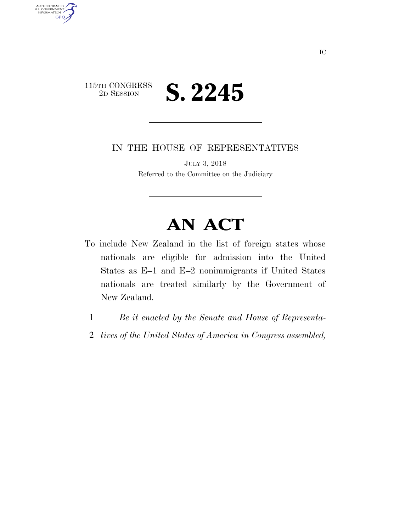

AUTHENTICATED<br>U.S. GOVERNMENT<br>INFORMATION

GPO

IN THE HOUSE OF REPRESENTATIVES

JULY 3, 2018 Referred to the Committee on the Judiciary

## **AN ACT**

- To include New Zealand in the list of foreign states whose nationals are eligible for admission into the United States as E–1 and E–2 nonimmigrants if United States nationals are treated similarly by the Government of New Zealand.
	- 1 *Be it enacted by the Senate and House of Representa-*
	- 2 *tives of the United States of America in Congress assembled,*